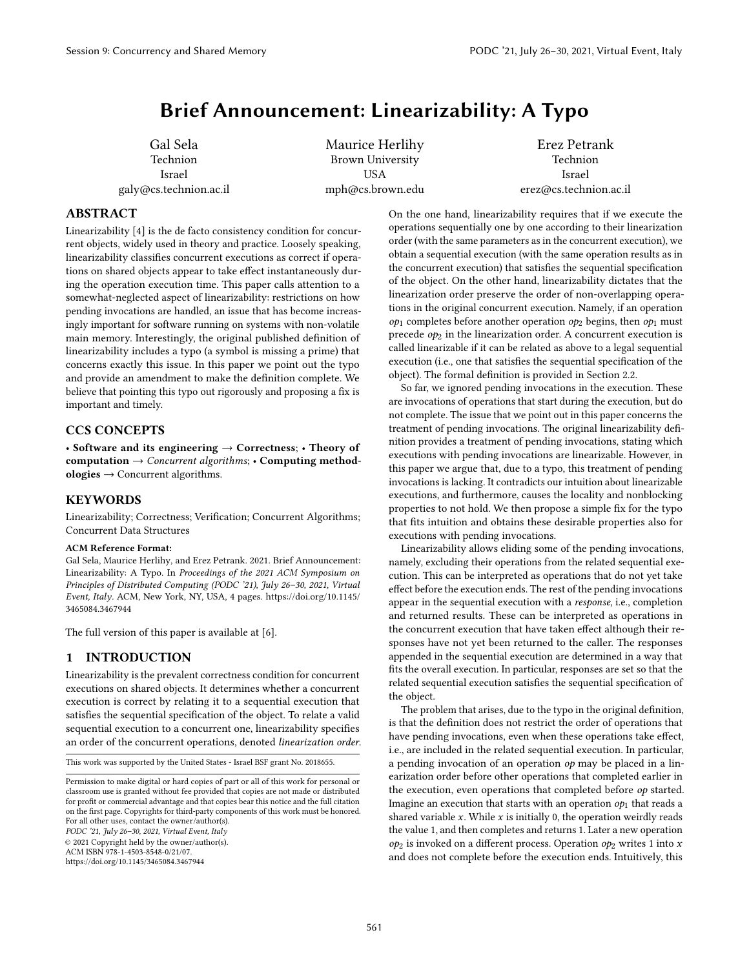# Brief Announcement: Linearizability: A Typo

Gal Sela Technion Israel galy@cs.technion.ac.il

Maurice Herlihy Brown University USA mph@cs.brown.edu

Erez Petrank Technion Israel erez@cs.technion.ac.il

#### ABSTRACT

Linearizability [\[4\]](#page-3-0) is the de facto consistency condition for concurrent objects, widely used in theory and practice. Loosely speaking, linearizability classifies concurrent executions as correct if operations on shared objects appear to take effect instantaneously during the operation execution time. This paper calls attention to a somewhat-neglected aspect of linearizability: restrictions on how pending invocations are handled, an issue that has become increasingly important for software running on systems with non-volatile main memory. Interestingly, the original published definition of linearizability includes a typo (a symbol is missing a prime) that concerns exactly this issue. In this paper we point out the typo and provide an amendment to make the definition complete. We believe that pointing this typo out rigorously and proposing a fix is important and timely.

## CCS CONCEPTS

• Software and its engineering  $\rightarrow$  Correctness; • Theory of computation  $\rightarrow$  Concurrent algorithms; • Computing method $ologies \rightarrow$  Concurrent algorithms.

#### **KEYWORDS**

Linearizability; Correctness; Verification; Concurrent Algorithms; Concurrent Data Structures

#### ACM Reference Format:

Gal Sela, Maurice Herlihy, and Erez Petrank. 2021. Brief Announcement: Linearizability: A Typo. In Proceedings of the 2021 ACM Symposium on Principles of Distributed Computing (PODC '21), July 26–30, 2021, Virtual Event, Italy. ACM, New York, NY, USA, [4](#page-3-1) pages. [https://doi.org/10.1145/](https://doi.org/10.1145/3465084.3467944) [3465084.3467944](https://doi.org/10.1145/3465084.3467944)

The full version of this paper is available at [\[6\]](#page-3-2).

## 1 INTRODUCTION

Linearizability is the prevalent correctness condition for concurrent executions on shared objects. It determines whether a concurrent execution is correct by relating it to a sequential execution that satisfies the sequential specification of the object. To relate a valid sequential execution to a concurrent one, linearizability specifies an order of the concurrent operations, denoted linearization order.

This work was supported by the United States - Israel BSF grant No. 2018655.

PODC '21, July 26–30, 2021, Virtual Event, Italy

© 2021 Copyright held by the owner/author(s).

ACM ISBN 978-1-4503-8548-0/21/07.

<https://doi.org/10.1145/3465084.3467944>

On the one hand, linearizability requires that if we execute the operations sequentially one by one according to their linearization order (with the same parameters as in the concurrent execution), we obtain a sequential execution (with the same operation results as in the concurrent execution) that satisfies the sequential specification of the object. On the other hand, linearizability dictates that the linearization order preserve the order of non-overlapping operations in the original concurrent execution. Namely, if an operation  $op<sub>1</sub>$  completes before another operation  $op<sub>2</sub>$  begins, then  $op<sub>1</sub>$  must precede  $op<sub>2</sub>$  in the linearization order. A concurrent execution is called linearizable if it can be related as above to a legal sequential execution (i.e., one that satisfies the sequential specification of the object). The formal definition is provided in Section [2.2.](#page-1-0)

So far, we ignored pending invocations in the execution. These are invocations of operations that start during the execution, but do not complete. The issue that we point out in this paper concerns the treatment of pending invocations. The original linearizability definition provides a treatment of pending invocations, stating which executions with pending invocations are linearizable. However, in this paper we argue that, due to a typo, this treatment of pending invocations is lacking. It contradicts our intuition about linearizable executions, and furthermore, causes the locality and nonblocking properties to not hold. We then propose a simple fix for the typo that fits intuition and obtains these desirable properties also for executions with pending invocations.

Linearizability allows eliding some of the pending invocations, namely, excluding their operations from the related sequential execution. This can be interpreted as operations that do not yet take effect before the execution ends. The rest of the pending invocations appear in the sequential execution with a response, i.e., completion and returned results. These can be interpreted as operations in the concurrent execution that have taken effect although their responses have not yet been returned to the caller. The responses appended in the sequential execution are determined in a way that fits the overall execution. In particular, responses are set so that the related sequential execution satisfies the sequential specification of the object.

The problem that arises, due to the typo in the original definition, is that the definition does not restrict the order of operations that have pending invocations, even when these operations take effect, i.e., are included in the related sequential execution. In particular, a pending invocation of an operation  $op$  may be placed in a linearization order before other operations that completed earlier in the execution, even operations that completed before *op* started. Imagine an execution that starts with an operation  $op<sub>1</sub>$  that reads a shared variable  $x$ . While  $x$  is initially 0, the operation weirdly reads the value 1, and then completes and returns 1. Later a new operation  $op<sub>2</sub>$  is invoked on a different process. Operation  $op<sub>2</sub>$  writes 1 into x and does not complete before the execution ends. Intuitively, this

Permission to make digital or hard copies of part or all of this work for personal or classroom use is granted without fee provided that copies are not made or distributed for profit or commercial advantage and that copies bear this notice and the full citation on the first page. Copyrights for third-party components of this work must be honored. For all other uses, contact the owner/author(s).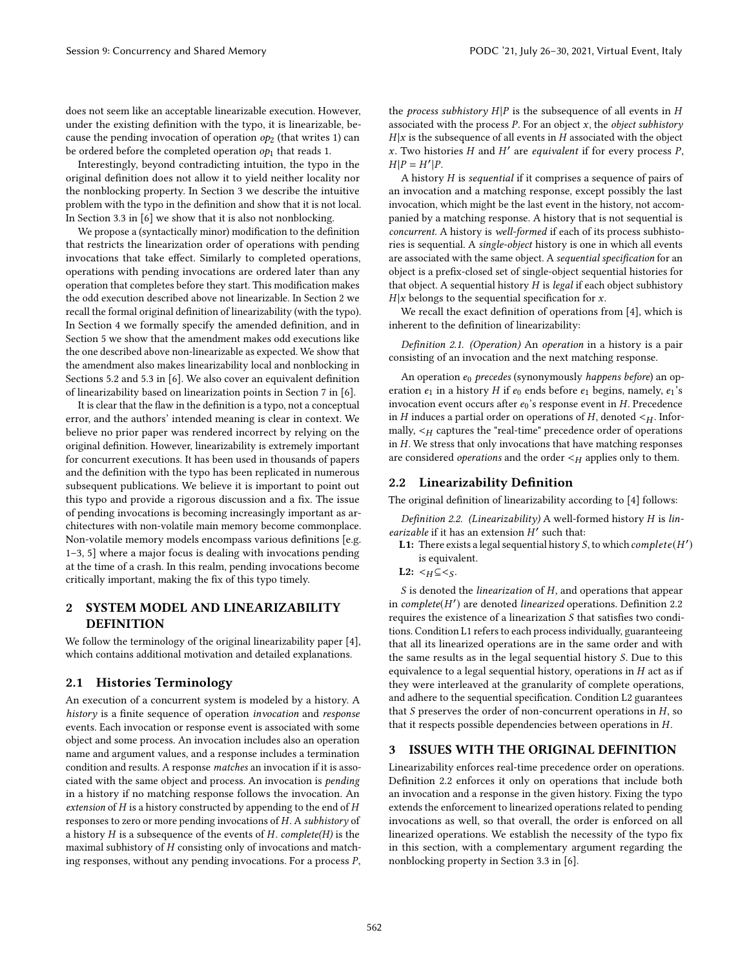does not seem like an acceptable linearizable execution. However, under the existing definition with the typo, it is linearizable, because the pending invocation of operation  $op<sub>2</sub>$  (that writes 1) can be ordered before the completed operation  $op<sub>1</sub>$  that reads 1.

Interestingly, beyond contradicting intuition, the typo in the original definition does not allow it to yield neither locality nor the nonblocking property. In Section [3](#page-1-1) we describe the intuitive problem with the typo in the definition and show that it is not local. In Section 3.3 in [\[6\]](#page-3-2) we show that it is also not nonblocking.

We propose a (syntactically minor) modification to the definition that restricts the linearization order of operations with pending invocations that take effect. Similarly to completed operations, operations with pending invocations are ordered later than any operation that completes before they start. This modification makes the odd execution described above not linearizable. In Section [2](#page-1-2) we recall the formal original definition of linearizability (with the typo). In Section [4](#page-2-0) we formally specify the amended definition, and in Section [5](#page-2-1) we show that the amendment makes odd executions like the one described above non-linearizable as expected. We show that the amendment also makes linearizability local and nonblocking in Sections 5.2 and 5.3 in [\[6\]](#page-3-2). We also cover an equivalent definition of linearizability based on linearization points in Section 7 in [\[6\]](#page-3-2).

It is clear that the flaw in the definition is a typo, not a conceptual error, and the authors' intended meaning is clear in context. We believe no prior paper was rendered incorrect by relying on the original definition. However, linearizability is extremely important for concurrent executions. It has been used in thousands of papers and the definition with the typo has been replicated in numerous subsequent publications. We believe it is important to point out this typo and provide a rigorous discussion and a fix. The issue of pending invocations is becoming increasingly important as architectures with non-volatile main memory become commonplace. Non-volatile memory models encompass various definitions [e.g. [1–](#page-3-3)[3,](#page-3-4) [5\]](#page-3-5) where a major focus is dealing with invocations pending at the time of a crash. In this realm, pending invocations become critically important, making the fix of this typo timely.

## <span id="page-1-2"></span>2 SYSTEM MODEL AND LINEARIZABILITY **DEFINITION**

We follow the terminology of the original linearizability paper [\[4\]](#page-3-0), which contains additional motivation and detailed explanations.

#### 2.1 Histories Terminology

An execution of a concurrent system is modeled by a history. A history is a finite sequence of operation invocation and response events. Each invocation or response event is associated with some object and some process. An invocation includes also an operation name and argument values, and a response includes a termination condition and results. A response matches an invocation if it is associated with the same object and process. An invocation is pending in a history if no matching response follows the invocation. An extension of  $H$  is a history constructed by appending to the end of  $H$ responses to zero or more pending invocations of  $H$ . A subhistory of a history  $H$  is a subsequence of the events of  $H$ . complete( $H$ ) is the maximal subhistory of  $H$  consisting only of invocations and matching responses, without any pending invocations. For a process  $P$ ,

the process subhistory  $H|P$  is the subsequence of all events in  $H$ associated with the process  $P$ . For an object  $x$ , the *object subhistory*  $H|x$  is the subsequence of all events in  $H$  associated with the object x. Two histories  $H$  and  $H'$  are equivalent if for every process  $P$ ,  $H|P = H'|P.$ 

A history  $H$  is sequential if it comprises a sequence of pairs of an invocation and a matching response, except possibly the last invocation, which might be the last event in the history, not accompanied by a matching response. A history that is not sequential is concurrent. A history is well-formed if each of its process subhistories is sequential. A single-object history is one in which all events are associated with the same object. A sequential specification for an object is a prefix-closed set of single-object sequential histories for that object. A sequential history  $H$  is legal if each object subhistory  $H|x$  belongs to the sequential specification for x.

We recall the exact definition of operations from [\[4\]](#page-3-0), which is inherent to the definition of linearizability:

<span id="page-1-4"></span>Definition 2.1. (Operation) An operation in a history is a pair consisting of an invocation and the next matching response.

An operation  $e_0$  precedes (synonymously happens before) an operation  $e_1$  in a history  $H$  if  $e_0$  ends before  $e_1$  begins, namely,  $e_1$ 's invocation event occurs after  $e_0$ 's response event in  $H$ . Precedence in  $H$  induces a partial order on operations of  $H$ , denoted  $\lt_H$ . Informally,  $\lt_H$  captures the "real-time" precedence order of operations in  $H$ . We stress that only invocations that have matching responses are considered *operations* and the order  $\lt_H$  applies only to them.

### <span id="page-1-0"></span>2.2 Linearizability Definition

The original definition of linearizability according to [\[4\]](#page-3-0) follows:

<span id="page-1-3"></span>Definition 2.2. (Linearizability) A well-formed history  $H$  is linearizable if it has an extension  $H'$  such that:

- **L1:** There exists a legal sequential history S, to which  $complete(H')$ is equivalent.
- L2:  $\lt_H \subseteq \lt_S$ .

 $S$  is denoted the *linearization* of  $H$ , and operations that appear in complete( $H'$ ) are denoted linearized operations. Definition [2.2](#page-1-3) requires the existence of a linearization  $S$  that satisfies two conditions. Condition L1 refers to each process individually, guaranteeing that all its linearized operations are in the same order and with the same results as in the legal sequential history  $S$ . Due to this equivalence to a legal sequential history, operations in  $H$  act as if they were interleaved at the granularity of complete operations, and adhere to the sequential specification. Condition L2 guarantees that  $S$  preserves the order of non-concurrent operations in  $H$ , so that it respects possible dependencies between operations in  $H$ .

#### <span id="page-1-1"></span>3 ISSUES WITH THE ORIGINAL DEFINITION

Linearizability enforces real-time precedence order on operations. Definition [2.2](#page-1-3) enforces it only on operations that include both an invocation and a response in the given history. Fixing the typo extends the enforcement to linearized operations related to pending invocations as well, so that overall, the order is enforced on all linearized operations. We establish the necessity of the typo fix in this section, with a complementary argument regarding the nonblocking property in Section 3.3 in [\[6\]](#page-3-2).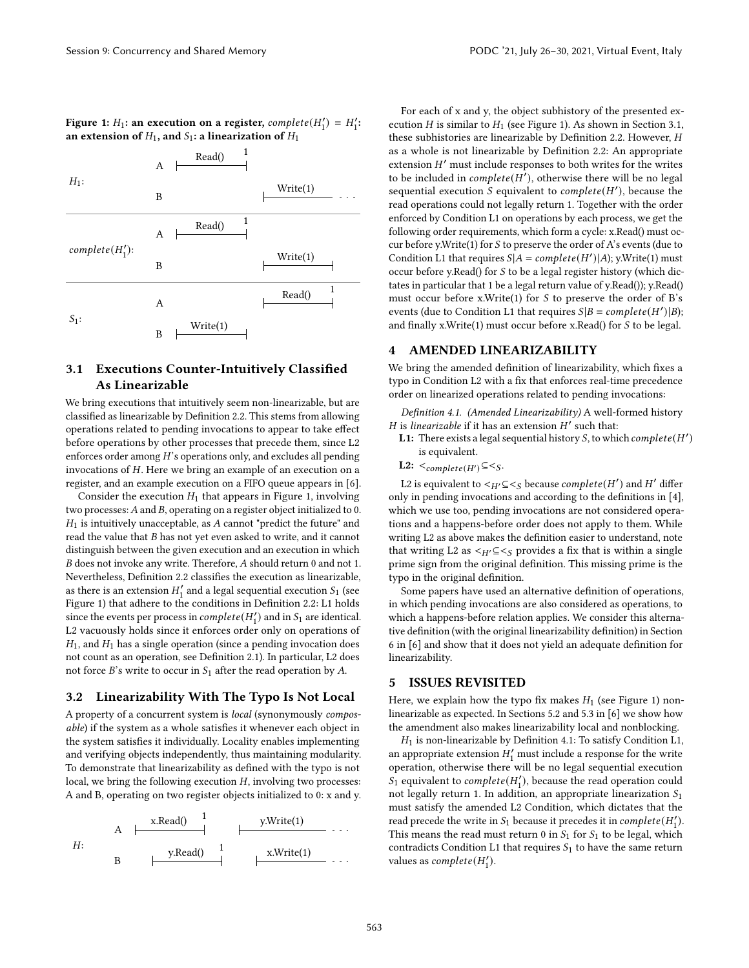<span id="page-2-2"></span>

| Figure 1: $H_1$ : an execution on a register, <i>complete</i> ( $H'_1$ ) = $H'_1$ : |  |
|-------------------------------------------------------------------------------------|--|
| an extension of $H_1$ , and $S_1$ : a linearization of $H_1$                        |  |



## <span id="page-2-3"></span>3.1 Executions Counter-Intuitively Classified As Linearizable

We bring executions that intuitively seem non-linearizable, but are classified as linearizable by Definition [2.2.](#page-1-3) This stems from allowing operations related to pending invocations to appear to take effect before operations by other processes that precede them, since L2 enforces order among  $H$ 's operations only, and excludes all pending invocations of  $H$ . Here we bring an example of an execution on a register, and an example execution on a FIFO queue appears in [\[6\]](#page-3-2).

Consider the execution  $H_1$  that appears in Figure [1,](#page-2-2) involving two processes:  $A$  and  $B$ , operating on a register object initialized to 0.  $H_1$  is intuitively unacceptable, as  $A$  cannot "predict the future" and read the value that  $B$  has not yet even asked to write, and it cannot distinguish between the given execution and an execution in which  $B$  does not invoke any write. Therefore,  $A$  should return 0 and not 1. Nevertheless, Definition [2.2](#page-1-3) classifies the execution as linearizable, as there is an extension  $H'_1$  and a legal sequential execution  $\mathcal{S}_1$  (see Figure [1\)](#page-2-2) that adhere to the conditions in Definition [2.2:](#page-1-3) L1 holds since the events per process in  $complete(H'_1)$  and in  $S_1$  are identical. L2 vacuously holds since it enforces order only on operations of  $H_1$ , and  $H_1$  has a single operation (since a pending invocation does not count as an operation, see Definition [2.1\)](#page-1-4). In particular, L2 does not force  $B$ 's write to occur in  $S_1$  after the read operation by A.

### 3.2 Linearizability With The Typo Is Not Local

A property of a concurrent system is local (synonymously composable) if the system as a whole satisfies it whenever each object in the system satisfies it individually. Locality enables implementing and verifying objects independently, thus maintaining modularity. To demonstrate that linearizability as defined with the typo is not local, we bring the following execution  $H$ , involving two processes: A and B, operating on two register objects initialized to 0: x and y.

: A B x.Read() <sup>1</sup> y.Read() <sup>1</sup> y.Write(1) x.Write(1)

For each of x and y, the object subhistory of the presented execution *H* is similar to  $H_1$  (see Figure [1\)](#page-2-2). As shown in Section [3.1,](#page-2-3) these subhistories are linearizable by Definition [2.2.](#page-1-3) However, as a whole is not linearizable by Definition [2.2:](#page-1-3) An appropriate extension  $H'$  must include responses to both writes for the writes to be included in  $complete(H'),$  otherwise there will be no legal sequential execution  $\hat{S}$  equivalent to complete(H'), because the read operations could not legally return 1. Together with the order enforced by Condition L1 on operations by each process, we get the following order requirements, which form a cycle: x.Read() must occur before y. Write $(1)$  for  $S$  to preserve the order of  $A$ 's events (due to Condition L1 that requires  $S[A = complete(H')|A)$ ; y.Write(1) must occur before y.Read() for  $S$  to be a legal register history (which dictates in particular that 1 be a legal return value of y.Read()); y.Read() must occur before x.Write(1) for  $S$  to preserve the order of  $B$ 's events (due to Condition L1 that requires  $S|B = complete(H')|B$ ); and finally x.Write(1) must occur before x.Read() for  $S$  to be legal.

#### <span id="page-2-0"></span>4 AMENDED LINEARIZABILITY

We bring the amended definition of linearizability, which fixes a typo in Condition L2 with a fix that enforces real-time precedence order on linearized operations related to pending invocations:

<span id="page-2-4"></span>Definition 4.1. (Amended Linearizability) A well-formed history H is linearizable if it has an extension  $H'$  such that:

- **L1:** There exists a legal sequential history S, to which  $complete(H')$ is equivalent.
- L2:  $\lt_{complete(H')} \subseteq \lt_S$ .

L2 is equivalent to  $\lt_{H'} \subseteq \lt_S$  because  $complete(H')$  and  $H'$  differ only in pending invocations and according to the definitions in [\[4\]](#page-3-0), which we use too, pending invocations are not considered operations and a happens-before order does not apply to them. While writing L2 as above makes the definition easier to understand, note that writing L2 as  $\lt_{H'} \subseteq \lt_S$  provides a fix that is within a single prime sign from the original definition. This missing prime is the typo in the original definition.

Some papers have used an alternative definition of operations, in which pending invocations are also considered as operations, to which a happens-before relation applies. We consider this alternative definition (with the original linearizability definition) in Section 6 in [\[6\]](#page-3-2) and show that it does not yield an adequate definition for linearizability.

### <span id="page-2-1"></span>5 ISSUES REVISITED

Here, we explain how the typo fix makes  $H_1$  (see Figure [1\)](#page-2-2) nonlinearizable as expected. In Sections 5.2 and 5.3 in [\[6\]](#page-3-2) we show how the amendment also makes linearizability local and nonblocking.

 $H_1$  is non-linearizable by Definition [4.1:](#page-2-4) To satisfy Condition L1, an appropriate extension  $H_1^\prime$  must include a response for the write operation, otherwise there will be no legal sequential execution  $\widehat{S_1}$  equivalent to *complete*( $H_1'$ ), because the read operation could not legally return 1. In addition, an appropriate linearization  $S_1$ must satisfy the amended L2 Condition, which dictates that the read precede the write in  $S_1$  because it precedes it in  $complete(H'_1)$ . This means the read must return 0 in  $S_1$  for  $S_1$  to be legal, which contradicts Condition L1 that requires  $S_1$  to have the same return values as  $complete(H'_1)$ .